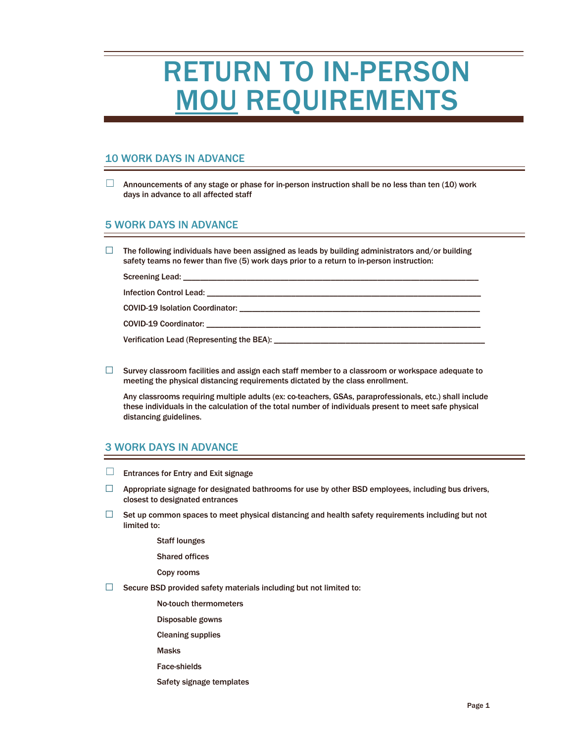# RETURN TO IN-PERSON MOU REQUIREMENTS

## 10 WORK DAYS IN ADVANCE

 $\Box$  Announcements of any stage or phase for in-person instruction shall be no less than ten (10) work days in advance to all affected staff

## 5 WORK DAYS IN ADVANCE

 $\Box$  The following individuals have been assigned as leads by building administrators and/or building safety teams no fewer than five (5) work days prior to a return to in-person instruction:

Screening Lead: \_ Infection Control Lead: \_\_\_\_ COVID-19 Isolation Coordinator: \_\_\_\_\_\_\_\_\_\_\_\_\_\_\_\_\_\_\_\_\_\_\_\_\_\_\_\_\_\_\_\_\_\_\_\_\_\_\_\_\_\_\_\_\_\_\_\_\_\_\_\_\_\_\_\_\_ COVID-19 Coordinator:

Verification Lead (Representing the BEA): \_\_\_\_\_\_\_\_\_\_\_

 $\Box$  Survey classroom facilities and assign each staff member to a classroom or workspace adequate to meeting the physical distancing requirements dictated by the class enrollment.

Any classrooms requiring multiple adults (ex: co-teachers, GSAs, paraprofessionals, etc.) shall include these individuals in the calculation of the total number of individuals present to meet safe physical distancing guidelines.

## 3 WORK DAYS IN ADVANCE

- $\Box$  Entrances for Entry and Exit signage
- $\Box$  Appropriate signage for designated bathrooms for use by other BSD employees, including bus drivers, closest to designated entrances
- $\Box$  Set up common spaces to meet physical distancing and health safety requirements including but not limited to:
	- Staff lounges
	- Shared offices
	- Copy rooms
- $\Box$  Secure BSD provided safety materials including but not limited to:
	- No-touch thermometers
	- Disposable gowns
	- Cleaning supplies
	- Masks
	- Face-shields
	- Safety signage templates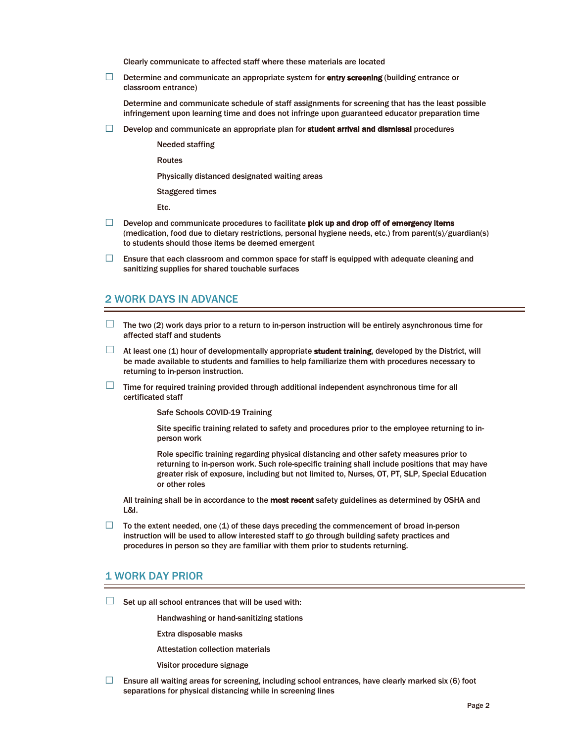Clearly communicate to affected staff where these materials are located

□ Determine and communicate an appropriate system for entry screening (building entrance or classroom entrance)

Determine and communicate schedule of staff assignments for screening that has the least possible infringement upon learning time and does not infringe upon guaranteed educator preparation time

 $\Box$  Develop and communicate an appropriate plan for **student arrival and dismissal** procedures

Needed staffing

Routes

Physically distanced designated waiting areas

Staggered times

Etc.

- $\Box$  Develop and communicate procedures to facilitate pick up and drop off of emergency items (medication, food due to dietary restrictions, personal hygiene needs, etc.) from parent(s)/guardian(s) to students should those items be deemed emergent
- $\Box$  Ensure that each classroom and common space for staff is equipped with adequate cleaning and sanitizing supplies for shared touchable surfaces

#### 2 WORK DAYS IN ADVANCE

- $\Box$  The two (2) work days prior to a return to in-person instruction will be entirely asynchronous time for affected staff and students
- At least one (1) hour of developmentally appropriate student training, developed by the District, will be made available to students and families to help familiarize them with procedures necessary to returning to in-person instruction.
- $\Box$  Time for required training provided through additional independent asynchronous time for all certificated staff

Safe Schools COVID-19 Training

Site specific training related to safety and procedures prior to the employee returning to inperson work

Role specific training regarding physical distancing and other safety measures prior to returning to in-person work. Such role-specific training shall include positions that may have greater risk of exposure, including but not limited to, Nurses, OT, PT, SLP, Special Education or other roles

All training shall be in accordance to the most recent safety guidelines as determined by OSHA and L&I.

 $\Box$  To the extent needed, one (1) of these days preceding the commencement of broad in-person instruction will be used to allow interested staff to go through building safety practices and procedures in person so they are familiar with them prior to students returning.

#### 1 WORK DAY PRIOR

 $\Box$  Set up all school entrances that will be used with:

Handwashing or hand-sanitizing stations

Extra disposable masks

- Attestation collection materials
- Visitor procedure signage
- $\Box$  Ensure all waiting areas for screening, including school entrances, have clearly marked six (6) foot separations for physical distancing while in screening lines